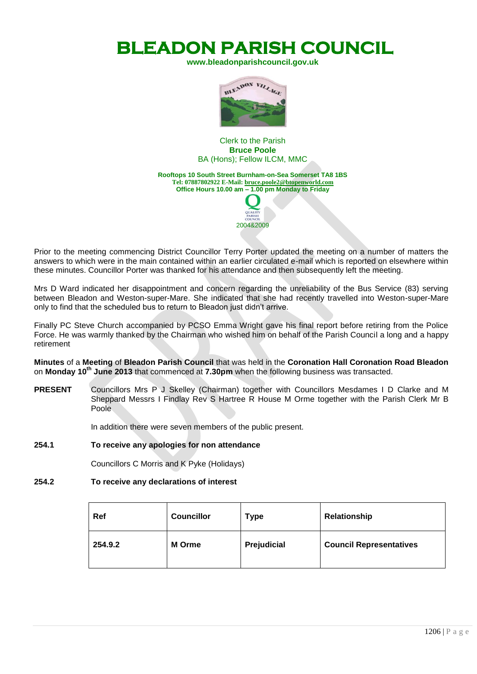**BLEADON PARISH COUNCIL** 

**[www.bleadonparishcouncil.gov.uk](http://www.bleadonparishcouncil.gov.uk/)**



Clerk to the Parish **Bruce Poole**  BA (Hons); Fellow ILCM, MMC

**Rooftops 10 South Street Burnham-on-Sea Somerset TA8 1BS Tel: 07887802922 E-Mail[: bruce.poole2@btopenworld.com](mailto:bruce.poole2@btopenworld.com) Office Hours 10.00 am – 1.00 pm Monday to Friday** QUALITY

2004&2009

Prior to the meeting commencing District Councillor Terry Porter updated the meeting on a number of matters the answers to which were in the main contained within an earlier circulated e-mail which is reported on elsewhere within these minutes. Councillor Porter was thanked for his attendance and then subsequently left the meeting.

Mrs D Ward indicated her disappointment and concern regarding the unreliability of the Bus Service (83) serving between Bleadon and Weston-super-Mare. She indicated that she had recently travelled into Weston-super-Mare only to find that the scheduled bus to return to Bleadon just didn't arrive.

Finally PC Steve Church accompanied by PCSO Emma Wright gave his final report before retiring from the Police Force. He was warmly thanked by the Chairman who wished him on behalf of the Parish Council a long and a happy retirement

**Minutes** of a **Meeting** of **Bleadon Parish Council** that was held in the **Coronation Hall Coronation Road Bleadon** on **Monday 10 th June 2013** that commenced at **7.30pm** when the following business was transacted.

**PRESENT** Councillors Mrs P J Skelley (Chairman) together with Councillors Mesdames I D Clarke and M Sheppard Messrs I Findlay Rev S Hartree R House M Orme together with the Parish Clerk Mr B Poole

In addition there were seven members of the public present.

#### **254.1 To receive any apologies for non attendance**

Councillors C Morris and K Pyke (Holidays)

#### **254.2 To receive any declarations of interest**

| Ref     | <b>Councillor</b> | <b>Type</b> | <b>Relationship</b>            |
|---------|-------------------|-------------|--------------------------------|
| 254.9.2 | <b>M</b> Orme     | Prejudicial | <b>Council Representatives</b> |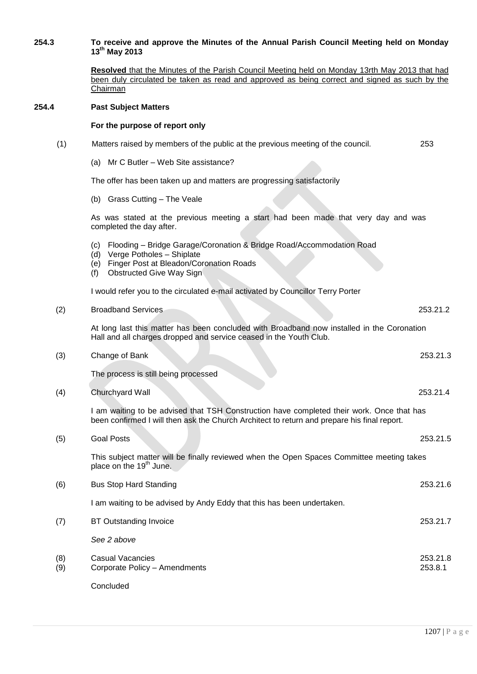#### **254.3 To receive and approve the Minutes of the Annual Parish Council Meeting held on Monday 13 th May 2013**

**Resolved** that the Minutes of the Parish Council Meeting held on Monday 13rth May 2013 that had been duly circulated be taken as read and approved as being correct and signed as such by the **Chairman** 

# **254.4 Past Subject Matters**

Concluded

#### **For the purpose of report only**

| (1)        | Matters raised by members of the public at the previous meeting of the council.                                                                                                                             | 253                 |
|------------|-------------------------------------------------------------------------------------------------------------------------------------------------------------------------------------------------------------|---------------------|
|            | (a) Mr C Butler - Web Site assistance?                                                                                                                                                                      |                     |
|            | The offer has been taken up and matters are progressing satisfactorily                                                                                                                                      |                     |
|            | (b) Grass Cutting - The Veale                                                                                                                                                                               |                     |
|            | As was stated at the previous meeting a start had been made that very day and was<br>completed the day after.                                                                                               |                     |
|            | Flooding - Bridge Garage/Coronation & Bridge Road/Accommodation Road<br>(C)<br>Verge Potholes - Shiplate<br>(d)<br>Finger Post at Bleadon/Coronation Roads<br>(e)<br>(f)<br><b>Obstructed Give Way Sign</b> |                     |
|            | I would refer you to the circulated e-mail activated by Councillor Terry Porter                                                                                                                             |                     |
| (2)        | <b>Broadband Services</b>                                                                                                                                                                                   | 253.21.2            |
|            | At long last this matter has been concluded with Broadband now installed in the Coronation<br>Hall and all charges dropped and service ceased in the Youth Club.                                            |                     |
| (3)        | Change of Bank                                                                                                                                                                                              | 253.21.3            |
|            | The process is still being processed                                                                                                                                                                        |                     |
| (4)        | Churchyard Wall                                                                                                                                                                                             | 253.21.4            |
|            | I am waiting to be advised that TSH Construction have completed their work. Once that has<br>been confirmed I will then ask the Church Architect to return and prepare his final report.                    |                     |
| (5)        | <b>Goal Posts</b>                                                                                                                                                                                           | 253.21.5            |
|            | This subject matter will be finally reviewed when the Open Spaces Committee meeting takes<br>place on the 19 <sup>th</sup> June.                                                                            |                     |
| (6)        | <b>Bus Stop Hard Standing</b>                                                                                                                                                                               | 253.21.6            |
|            | I am waiting to be advised by Andy Eddy that this has been undertaken.                                                                                                                                      |                     |
| (7)        | <b>BT Outstanding Invoice</b>                                                                                                                                                                               | 253.21.7            |
|            | See 2 above                                                                                                                                                                                                 |                     |
| (8)<br>(9) | <b>Casual Vacancies</b><br>Corporate Policy - Amendments                                                                                                                                                    | 253.21.8<br>253.8.1 |
|            |                                                                                                                                                                                                             |                     |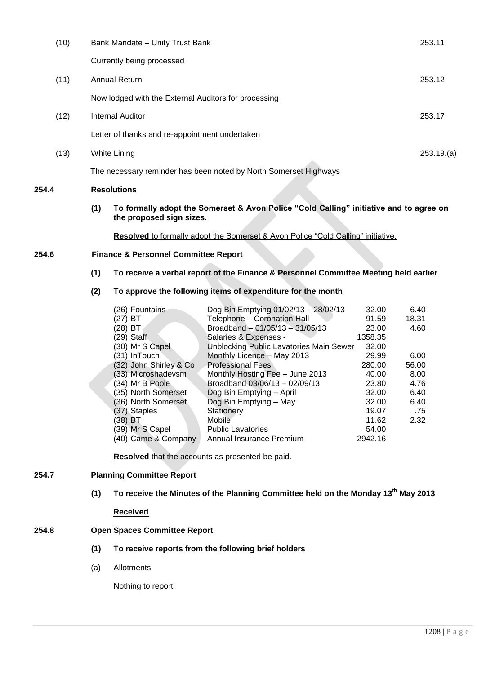| (10) | Bank Mandate - Unity Trust Bank                                  | 253.11    |
|------|------------------------------------------------------------------|-----------|
|      | Currently being processed                                        |           |
| (11) | Annual Return                                                    | 253.12    |
|      | Now lodged with the External Auditors for processing             |           |
| (12) | Internal Auditor                                                 | 253.17    |
|      | Letter of thanks and re-appointment undertaken                   |           |
| (13) | White Lining                                                     | 253.19(a) |
|      | The necessary reminder has been noted by North Somerset Highways |           |
|      |                                                                  |           |

## **254.4 Resolutions**

**(1) To formally adopt the Somerset & Avon Police "Cold Calling" initiative and to agree on the proposed sign sizes.**

**Resolved** to formally adopt the Somerset & Avon Police "Cold Calling" initiative.

# **254.6 Finance & Personnel Committee Report**

## **(1) To receive a verbal report of the Finance & Personnel Committee Meeting held earlier**

#### **(2) To approve the following items of expenditure for the month**

|              | (26) Fountains         | Dog Bin Emptying 01/02/13 - 28/02/13    | 32.00   | 6.40  |
|--------------|------------------------|-----------------------------------------|---------|-------|
| $(27)$ BT    |                        | Telephone - Coronation Hall             | 91.59   | 18.31 |
| $(28)$ BT    |                        | Broadband - 01/05/13 - 31/05/13         | 23.00   | 4.60  |
| $(29)$ Staff |                        | Salaries & Expenses -                   | 1358.35 |       |
|              | (30) Mr S Capel        | Unblocking Public Lavatories Main Sewer | 32.00   |       |
|              | (31) InTouch           | Monthly Licence - May 2013              | 29.99   | 6.00  |
|              | (32) John Shirley & Co | <b>Professional Fees</b>                | 280.00  | 56.00 |
|              | (33) Microshadevsm     | Monthly Hosting Fee - June 2013         | 40.00   | 8.00  |
|              | (34) Mr B Poole        | Broadband 03/06/13 - 02/09/13           | 23.80   | 4.76  |
|              | (35) North Somerset    | Dog Bin Emptying - April                | 32.00   | 6.40  |
|              | (36) North Somerset    | Dog Bin Emptying - May                  | 32.00   | 6.40  |
|              | (37) Staples           | Stationery                              | 19.07   | .75   |
| (38) BT      |                        | Mobile                                  | 11.62   | 2.32  |
|              | (39) Mr S Capel        | <b>Public Lavatories</b>                | 54.00   |       |
|              | (40) Came & Company    | Annual Insurance Premium                | 2942.16 |       |
|              |                        |                                         |         |       |

**Resolved** that the accounts as presented be paid.

#### **254.7 Planning Committee Report**

# **(1) To receive the Minutes of the Planning Committee held on the Monday 13th May 2013**

# **Received**

## **254.8 Open Spaces Committee Report**

- **(1) To receive reports from the following brief holders**
- (a) Allotments

Nothing to report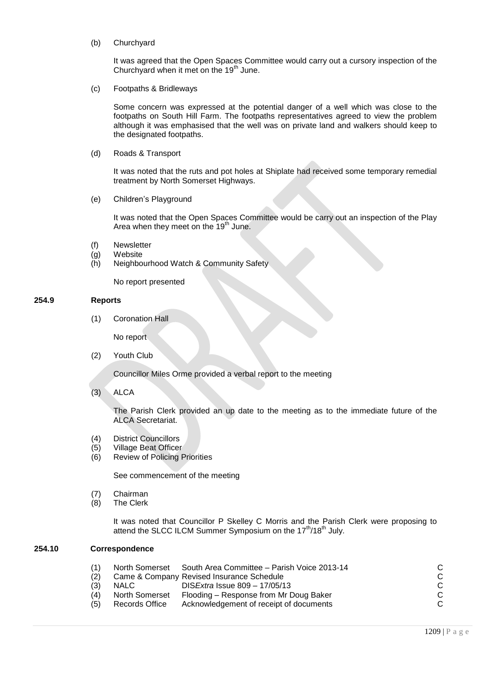(b) Churchyard

It was agreed that the Open Spaces Committee would carry out a cursory inspection of the Churchyard when it met on the 19<sup>th</sup> June.

(c) Footpaths & Bridleways

Some concern was expressed at the potential danger of a well which was close to the footpaths on South Hill Farm. The footpaths representatives agreed to view the problem although it was emphasised that the well was on private land and walkers should keep to the designated footpaths.

(d) Roads & Transport

It was noted that the ruts and pot holes at Shiplate had received some temporary remedial treatment by North Somerset Highways.

(e) Children's Playground

It was noted that the Open Spaces Committee would be carry out an inspection of the Play Area when they meet on the  $19<sup>th</sup>$  June.

- (f) Newsletter
- (g) Website
- (h) Neighbourhood Watch & Community Safety

No report presented

#### **254.9 Reports**

(1) Coronation Hall

No report

(2) Youth Club

Councillor Miles Orme provided a verbal report to the meeting

(3) ALCA

The Parish Clerk provided an up date to the meeting as to the immediate future of the ALCA Secretariat.

- (4) District Councillors
- (5) Village Beat Officer
- (6) Review of Policing Priorities

See commencement of the meeting

- (7) Chairman
- (8) The Clerk

It was noted that Councillor P Skelley C Morris and the Parish Clerk were proposing to attend the SLCC ILCM Summer Symposium on the 17<sup>th</sup>/18<sup>th</sup> July.

# **254.10 Correspondence**

|     |                       | North Somerset South Area Committee - Parish Voice 2013-14 |  |
|-----|-----------------------|------------------------------------------------------------|--|
|     |                       | Came & Company Revised Insurance Schedule                  |  |
| (3) | NALC.                 | DIS <i>Extra</i> Issue $809 - 17/05/13$                    |  |
| (4) | <b>North Somerset</b> | Flooding – Response from Mr Doug Baker                     |  |
| (5) | Records Office        | Acknowledgement of receipt of documents                    |  |